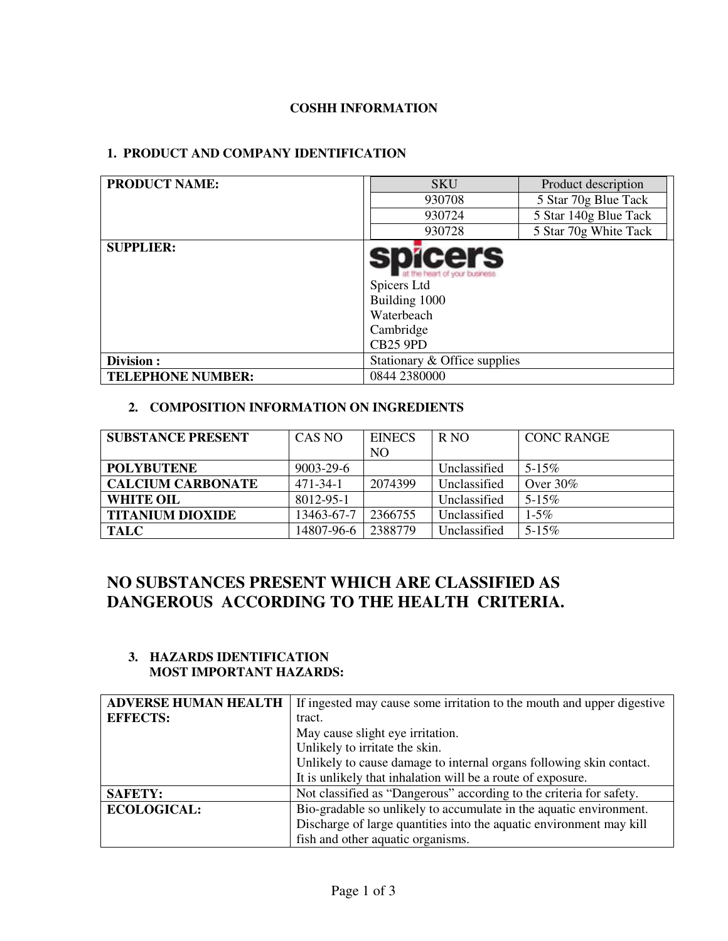# **COSHH INFORMATION**

# **1. PRODUCT AND COMPANY IDENTIFICATION**

| <b>PRODUCT NAME:</b>     | <b>SKU</b>                                                                                                                    | Product description   |
|--------------------------|-------------------------------------------------------------------------------------------------------------------------------|-----------------------|
|                          | 930708                                                                                                                        | 5 Star 70g Blue Tack  |
|                          | 930724                                                                                                                        | 5 Star 140g Blue Tack |
|                          | 930728                                                                                                                        | 5 Star 70g White Tack |
| <b>SUPPLIER:</b>         | <b>spicers</b><br>at the heart of your business<br>Spicers Ltd<br>Building 1000<br>Waterbeach<br>Cambridge<br><b>CB25 9PD</b> |                       |
| Division:                | Stationary & Office supplies                                                                                                  |                       |
| <b>TELEPHONE NUMBER:</b> | 0844 2380000                                                                                                                  |                       |

# **2. COMPOSITION INFORMATION ON INGREDIENTS**

| <b>SUBSTANCE PRESENT</b> | CAS NO          | <b>EINECS</b>  | R <sub>NO</sub> | <b>CONC RANGE</b> |
|--------------------------|-----------------|----------------|-----------------|-------------------|
|                          |                 | N <sub>O</sub> |                 |                   |
| <b>POLYBUTENE</b>        | $9003 - 29 - 6$ |                | Unclassified    | $5 - 15\%$        |
| <b>CALCIUM CARBONATE</b> | $471 - 34 - 1$  | 2074399        | Unclassified    | Over $30\%$       |
| <b>WHITE OIL</b>         | 8012-95-1       |                | Unclassified    | $5 - 15\%$        |
| <b>TITANIUM DIOXIDE</b>  | 13463-67-7      | 2366755        | Unclassified    | $1 - 5\%$         |
| <b>TALC</b>              | 14807-96-6      | 2388779        | Unclassified    | $5 - 15\%$        |

# **NO SUBSTANCES PRESENT WHICH ARE CLASSIFIED AS DANGEROUS ACCORDING TO THE HEALTH CRITERIA.**

#### **3. HAZARDS IDENTIFICATION MOST IMPORTANT HAZARDS:**

| <b>ADVERSE HUMAN HEALTH</b> | If ingested may cause some irritation to the mouth and upper digestive |  |
|-----------------------------|------------------------------------------------------------------------|--|
| <b>EFFECTS:</b>             | tract.                                                                 |  |
|                             | May cause slight eye irritation.                                       |  |
|                             | Unlikely to irritate the skin.                                         |  |
|                             | Unlikely to cause damage to internal organs following skin contact.    |  |
|                             | It is unlikely that inhalation will be a route of exposure.            |  |
| <b>SAFETY:</b>              | Not classified as "Dangerous" according to the criteria for safety.    |  |
| <b>ECOLOGICAL:</b>          | Bio-gradable so unlikely to accumulate in the aquatic environment.     |  |
|                             | Discharge of large quantities into the aquatic environment may kill    |  |
|                             | fish and other aquatic organisms.                                      |  |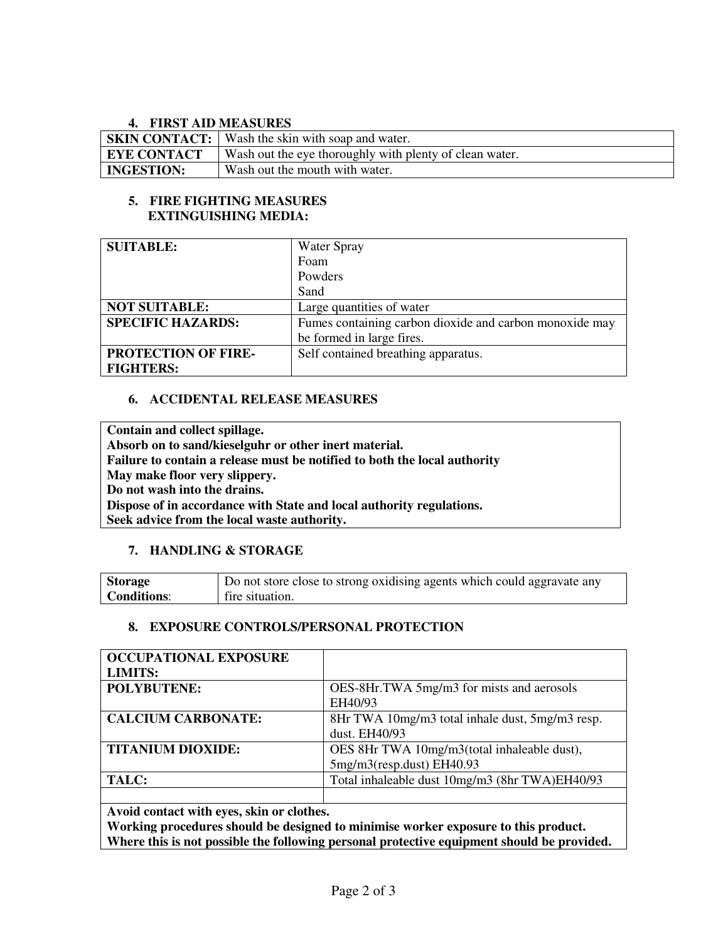# **4. FIRST AID MEASURES**

| $\mathbf{r}$ . Thus the mathematic state |                                                         |
|------------------------------------------|---------------------------------------------------------|
|                                          | <b>SKIN CONTACT:</b> Wash the skin with soap and water. |
| <b>EYE CONTACT</b>                       | Wash out the eye thoroughly with plenty of clean water. |
| <b>INGESTION:</b>                        | Wash out the mouth with water.                          |

#### **5. FIRE FIGHTING MEASURES EXTINGUISHING MEDIA:**

| <b>SUITABLE:</b>           | <b>Water Spray</b>                                      |
|----------------------------|---------------------------------------------------------|
|                            | Foam                                                    |
|                            | Powders                                                 |
|                            | Sand                                                    |
| <b>NOT SUITABLE:</b>       | Large quantities of water                               |
| <b>SPECIFIC HAZARDS:</b>   | Fumes containing carbon dioxide and carbon monoxide may |
|                            | be formed in large fires.                               |
| <b>PROTECTION OF FIRE-</b> | Self contained breathing apparatus.                     |
| <b>FIGHTERS:</b>           |                                                         |

### **6. ACCIDENTAL RELEASE MEASURES**

**Contain and collect spillage. Absorb on to sand/kieselguhr or other inert material. Failure to contain a release must be notified to both the local authority May make floor very slippery. Do not wash into the drains. Dispose of in accordance with State and local authority regulations. Seek advice from the local waste authority.** 

# **7. HANDLING & STORAGE**

| <b>Storage</b> | Do not store close to strong oxidising agents which could aggravate any |
|----------------|-------------------------------------------------------------------------|
| Conditions:    | fire situation.                                                         |

#### **8. EXPOSURE CONTROLS/PERSONAL PROTECTION**

| <b>OCCUPATIONAL EXPOSURE</b> |                                                 |
|------------------------------|-------------------------------------------------|
| <b>LIMITS:</b>               |                                                 |
| <b>POLYBUTENE:</b>           | OES-8Hr.TWA 5mg/m3 for mists and aerosols       |
|                              | EH40/93                                         |
| <b>CALCIUM CARBONATE:</b>    | 8Hr TWA 10mg/m3 total inhale dust, 5mg/m3 resp. |
|                              | dust. EH40/93                                   |
| <b>TITANIUM DIOXIDE:</b>     | OES 8Hr TWA 10mg/m3(total inhaleable dust),     |
|                              | 5mg/m3(resp.dust) EH40.93                       |
| TALC:                        | Total inhaleable dust 10mg/m3 (8hr TWA)EH40/93  |
|                              |                                                 |

**Avoid contact with eyes, skin or clothes.** 

**Working procedures should be designed to minimise worker exposure to this product. Where this is not possible the following personal protective equipment should be provided.**